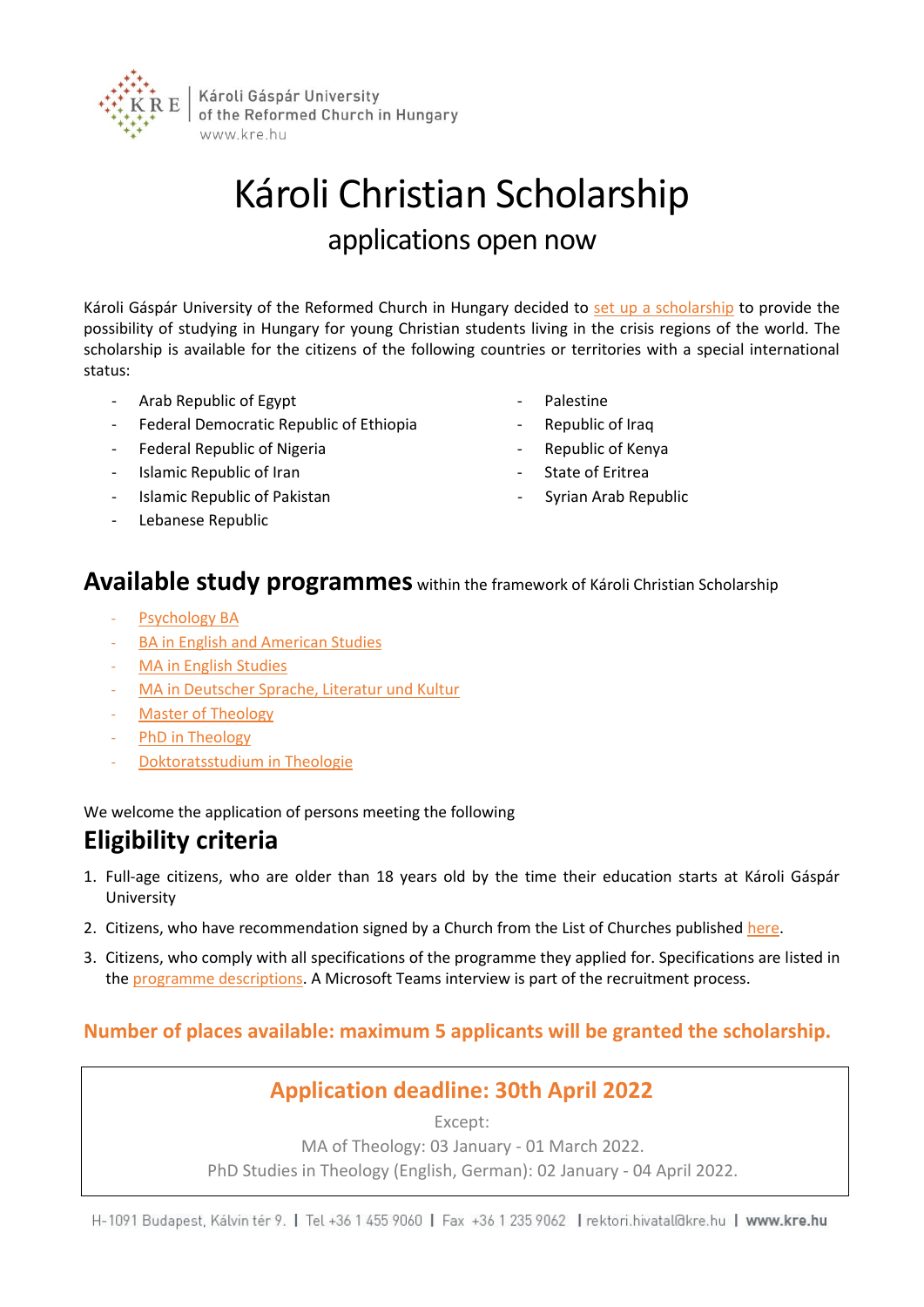

# Károli Christian Scholarship applications open now

Károli Gáspár University of the Reformed Church in Hungary decided to [set up a scholarship](https://english.kre.hu/index.php/study-programmes-in-foreign-languages/scholarships-for-international-students/karoli-christian-scholarship.html) to provide the possibility of studying in Hungary for young Christian students living in the crisis regions of the world. The scholarship is available for the citizens of the following countries or territories with a special international status:

- Arab Republic of Egypt
- Federal Democratic Republic of Ethiopia
- Federal Republic of Nigeria
- Islamic Republic of Iran
- Islamic Republic of Pakistan
- Lebanese Republic
- **Palestine**
- Republic of Iraq
- Republic of Kenya
- State of Eritrea
- Syrian Arab Republic

### **Available study programmes** within the framework of Károli Christian Scholarship

- [Psychology BA](https://english.kre.hu/index.php/study-programmes-in-foreign-languages/psychology-ba.html)
- [BA in English and American Studies](https://english.kre.hu/index.php/study-programmes-in-foreign-languages/ba-in-english-and-american-studies.html)
- [MA in English Studies](https://english.kre.hu/index.php/study-programmes-in-foreign-languages/ma-in-english-studies.html)
- MA [in Deutscher Sprache, Literatur und Kultur](https://english.kre.hu/index.php/study-programmes-in-foreign-languages/master-in-deutscher-sprache-literatur-und-kultur.html)
- [Master of Theology](https://english.kre.hu/index.php/study-programmes-in-foreign-languages/master-of-theology.html)
- [PhD in Theology](https://english.kre.hu/index.php/study-programmes-in-foreign-languages/phd-in-theology.html)
- [Doktoratsstudium in Theologie](https://english.kre.hu/index.php/study-programmes-in-foreign-languages/doktoratsstudium-in-theologie.html)

We welcome the application of persons meeting the following

### **Eligibility criteria**

- 1. Full-age citizens, who are older than 18 years old by the time their education starts at Károli Gáspár University
- 2. Citizens, who have recommendation signed by a Church from the List of Churches publishe[d here.](https://english.kre.hu/images/doc/list_of_churches-karoli_christian_scholarship.pdf)
- 3. Citizens, who comply with all specifications of the programme they applied for. Specifications are listed in th[e programme descriptions.](https://english.kre.hu/index.php/study-programmes-in-foreign-languages/study-programmes-in-foreign-languages.html) A Microsoft Teams interview is part of the recruitment process.

#### **Number of places available: maximum 5 applicants will be granted the scholarship.**

#### **Application deadline: 30th April 2022**

Except: MA of Theology: 03 January - 01 March 2022. PhD Studies in Theology (English, German): 02 January - 04 April 2022.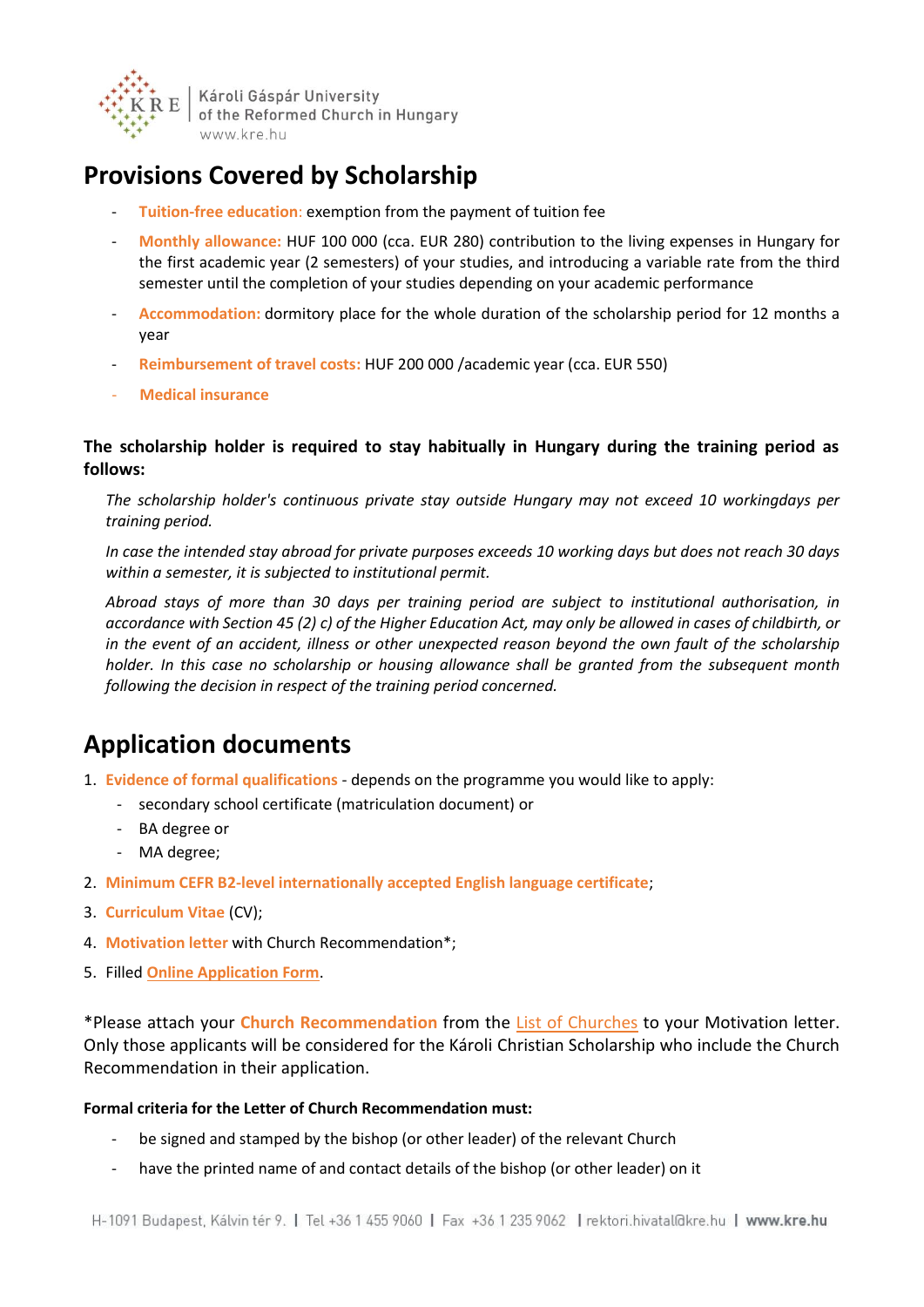

Károli Gáspár University of the Reformed Church in Hungary www.kre.hu

# **Provisions Covered by Scholarship**

- **Tuition-free education**: exemption from the payment of tuition fee
- **Monthly allowance:** HUF 100 000 (cca. EUR 280) contribution to the living expenses in Hungary for the first academic year (2 semesters) of your studies, and introducing a variable rate from the third semester until the completion of your studies depending on your academic performance
- **Accommodation:** dormitory place for the whole duration of the scholarship period for 12 months a year
- **Reimbursement of travel costs:** HUF 200 000 /academic year (cca. EUR 550)
- **Medical insurance**

#### **The scholarship holder is required to stay habitually in Hungary during the training period as follows:**

*The scholarship holder's continuous private stay outside Hungary may not exceed 10 workingdays per training period.*

*In case the intended stay abroad for private purposes exceeds 10 working days but does not reach 30 days within a semester, it is subjected to institutional permit.*

*Abroad stays of more than 30 days per training period are subject to institutional authorisation, in accordance with Section 45 (2) c) of the Higher Education Act, may only be allowed in cases of childbirth, or in the event of an accident, illness or other unexpected reason beyond the own fault of the scholarship holder. In this case no scholarship or housing allowance shall be granted from the subsequent month following the decision in respect of the training period concerned.*

# **Application documents**

- 1. **Evidence of formal qualifications** depends on the programme you would like to apply:
	- secondary school certificate (matriculation document) or
	- BA degree or
	- MA degree;
- 2. **Minimum CEFR B2-level internationally accepted English language certificate**;
- 3. **Curriculum Vitae** (CV);
- 4. **Motivation letter** with Church Recommendation\*;
- 5. Filled **[Online Application Form](https://english.kre.hu/application/)**.

\*Please attach your **Church Recommendation** from the List of [Churches](https://english.kre.hu/images/doc/list_of_churches-karoli_christian_scholarship.pdf) to your Motivation letter. Only those applicants will be considered for the Károli Christian Scholarship who include the Church Recommendation in their application.

#### **Formal criteria for the Letter of Church Recommendation must:**

- be signed and stamped by the bishop (or other leader) of the relevant Church
- have the printed name of and contact details of the bishop (or other leader) on it